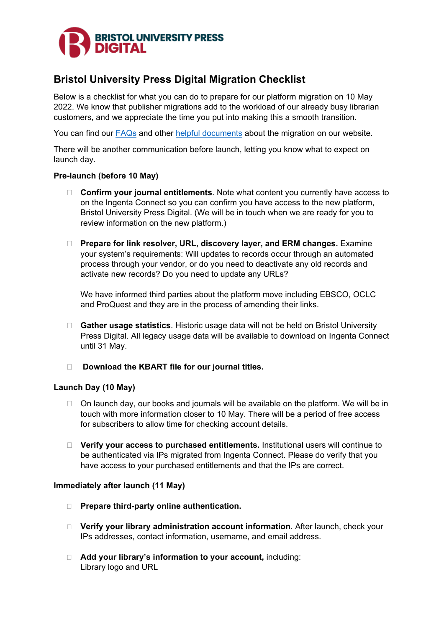

# **Bristol University Press Digital Migration Checklist**

Below is a checklist for what you can do to prepare for our platform migration on 10 May 2022. We know that publisher migrations add to the workload of our already busy librarian customers, and we appreciate the time you put into making this a smooth transition.

You can find our [FAQs](https://bristoluniversitypress.co.uk/bupdigital-faqs) and other [helpful documents](https://bristoluniversitypress.co.uk/bristol-university-press-digital) about the migration on our website.

There will be another communication before launch, letting you know what to expect on launch day.

## **Pre-launch (before 10 May)**

- **Confirm your journal entitlements**. Note what content you currently have access to on the Ingenta Connect so you can confirm you have access to the new platform, Bristol University Press Digital. (We will be in touch when we are ready for you to review information on the new platform.)
- **Prepare for link resolver, URL, discovery layer, and ERM changes.** Examine your system's requirements: Will updates to records occur through an automated process through your vendor, or do you need to deactivate any old records and activate new records? Do you need to update any URLs?

We have informed third parties about the platform move including EBSCO, OCLC and ProQuest and they are in the process of amending their links.

- **Gather usage statistics**. Historic usage data will not be held on Bristol University Press Digital. All legacy usage data will be available to download on Ingenta Connect until 31 May.
- **Download the KBART file for our journal titles.**

# **Launch Day (10 May)**

- $\Box$  On launch day, our books and journals will be available on the platform. We will be in touch with more information closer to 10 May. There will be a period of free access for subscribers to allow time for checking account details.
- **Verify your access to purchased entitlements.** Institutional users will continue to be authenticated via IPs migrated from Ingenta Connect. Please do verify that you have access to your purchased entitlements and that the IPs are correct.

## **Immediately after launch (11 May)**

- **Prepare third-party online authentication.**
- **Verify your library administration account information**. After launch, check your IPs addresses, contact information, username, and email address.
- **Add your library's information to your account,** including: Library logo and URL